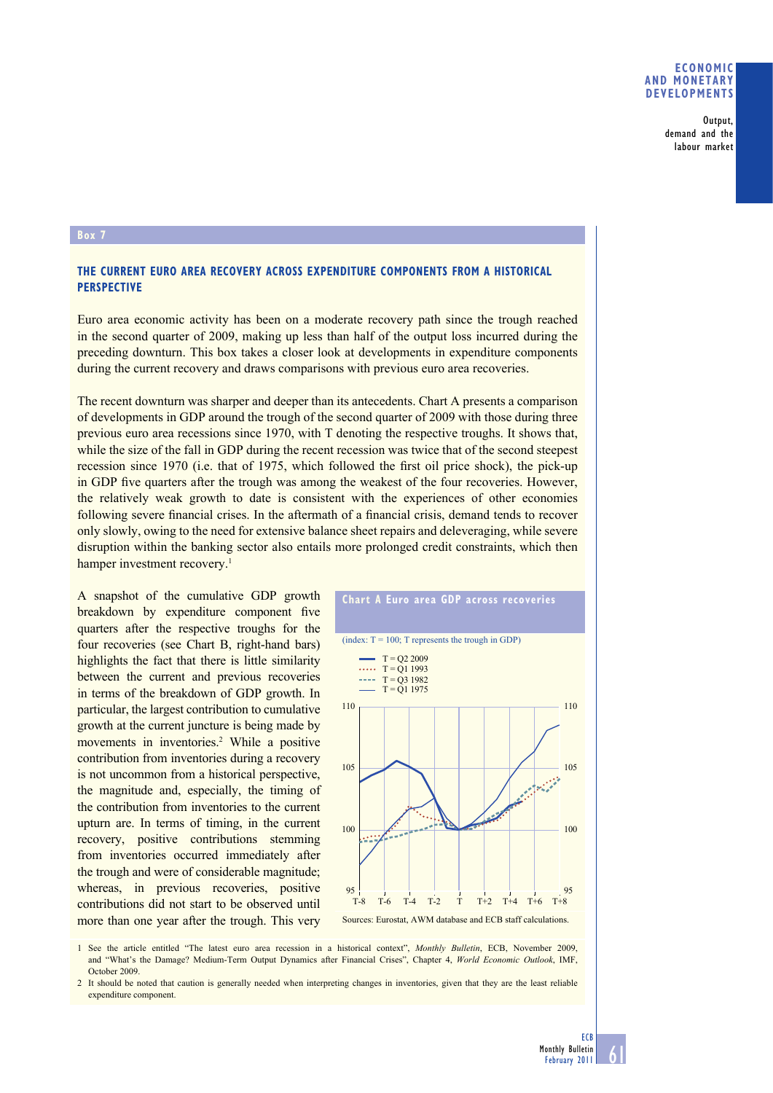## **ECONOMIC AND MONETARY DEVELOPMENTS**

Output, demand and the labour market

## **Box 7**

## **THE CURRENT EURO AREA RECOVERY ACROSS EXPENDITURE COMPONENTS FROM A HISTORICAL PERSPECTIVE**

Euro area economic activity has been on a moderate recovery path since the trough reached in the second quarter of 2009, making up less than half of the output loss incurred during the preceding downturn. This box takes a closer look at developments in expenditure components during the current recovery and draws comparisons with previous euro area recoveries.

The recent downturn was sharper and deeper than its antecedents. Chart A presents a comparison of developments in GDP around the trough of the second quarter of 2009 with those during three previous euro area recessions since 1970, with T denoting the respective troughs. It shows that, while the size of the fall in GDP during the recent recession was twice that of the second steepest recession since 1970 (i.e. that of 1975, which followed the first oil price shock), the pick-up in GDP five quarters after the trough was among the weakest of the four recoveries. However, the relatively weak growth to date is consistent with the experiences of other economies following severe financial crises. In the aftermath of a financial crisis, demand tends to recover only slowly, owing to the need for extensive balance sheet repairs and deleveraging, while severe disruption within the banking sector also entails more prolonged credit constraints, which then hamper investment recovery.<sup>1</sup>

A snapshot of the cumulative GDP growth breakdown by expenditure component five quarters after the respective troughs for the four recoveries (see Chart B, right-hand bars) highlights the fact that there is little similarity between the current and previous recoveries in terms of the breakdown of GDP growth. In particular, the largest contribution to cumulative growth at the current juncture is being made by movements in inventories.<sup>2</sup> While a positive contribution from inventories during a recovery is not uncommon from a historical perspective, the magnitude and, especially, the timing of the contribution from inventories to the current upturn are. In terms of timing, in the current recovery, positive contributions stemming from inventories occurred immediately after the trough and were of considerable magnitude; whereas, in previous recoveries, positive contributions did not start to be observed until more than one year after the trough. This very



**Chart A Euro area GDP across recoveries**



1 See the article entitled "The latest euro area recession in a historical context", *Monthly Bulletin*, ECB, November 2009, and "What's the Damage? Medium-Term Output Dynamics after Financial Crises", Chapter 4, *World Economic Outlook*, IMF, October 2009.

2 It should be noted that caution is generally needed when interpreting changes in inventories, given that they are the least reliable expenditure component.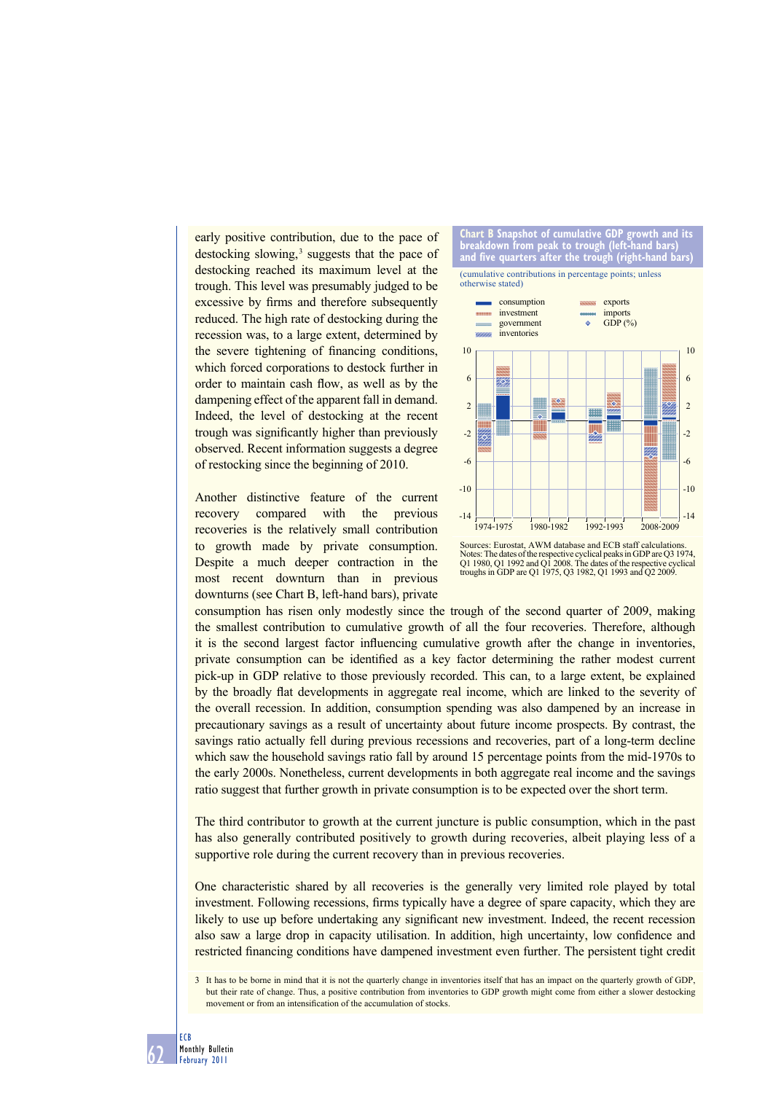early positive contribution, due to the pace of destocking slowing,<sup>3</sup> suggests that the pace of destocking reached its maximum level at the trough. This level was presumably judged to be excessive by firms and therefore subsequently reduced. The high rate of destocking during the recession was, to a large extent, determined by the severe tightening of financing conditions, which forced corporations to destock further in order to maintain cash flow, as well as by the dampening effect of the apparent fall in demand. Indeed, the level of destocking at the recent trough was significantly higher than previously observed. Recent information suggests a degree of restocking since the beginning of 2010.

Another distinctive feature of the current recovery compared with the previous recoveries is the relatively small contribution to growth made by private consumption. Despite a much deeper contraction in the most recent downturn than in previous downturns (see Chart B, left-hand bars), private





Sources: Eurostat, AWM database and ECB staff calculations. Notes: The dates of the respective cyclical peaks in GDP are Q3 1974, Q1 1980, Q1 1992 and Q1 2008. The dates of the respective cyclical troughs in GDP are Q1 1975, Q3 1982, Q1 1993 and Q2 2009.

consumption has risen only modestly since the trough of the second quarter of 2009, making the smallest contribution to cumulative growth of all the four recoveries. Therefore, although it is the second largest factor influencing cumulative growth after the change in inventories, private consumption can be identified as a key factor determining the rather modest current pick-up in GDP relative to those previously recorded. This can, to a large extent, be explained by the broadly flat developments in aggregate real income, which are linked to the severity of the overall recession. In addition, consumption spending was also dampened by an increase in precautionary savings as a result of uncertainty about future income prospects. By contrast, the savings ratio actually fell during previous recessions and recoveries, part of a long-term decline which saw the household savings ratio fall by around 15 percentage points from the mid-1970s to the early 2000s. Nonetheless, current developments in both aggregate real income and the savings ratio suggest that further growth in private consumption is to be expected over the short term.

The third contributor to growth at the current juncture is public consumption, which in the past has also generally contributed positively to growth during recoveries, albeit playing less of a supportive role during the current recovery than in previous recoveries.

One characteristic shared by all recoveries is the generally very limited role played by total investment. Following recessions, firms typically have a degree of spare capacity, which they are likely to use up before undertaking any significant new investment. Indeed, the recent recession also saw a large drop in capacity utilisation. In addition, high uncertainty, low confidence and restricted financing conditions have dampened investment even further. The persistent tight credit

<sup>3</sup> It has to be borne in mind that it is not the quarterly change in inventories itself that has an impact on the quarterly growth of GDP, but their rate of change. Thus, a positive contribution from inventories to GDP growth might come from either a slower destocking movement or from an intensification of the accumulation of stocks.